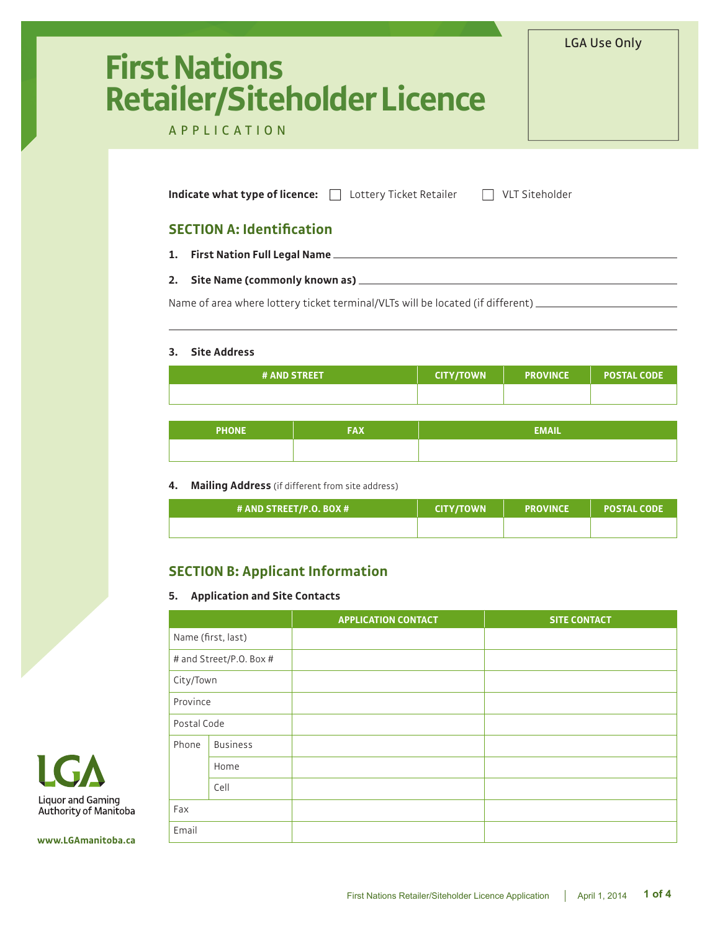# **First Nations Retailer/Siteholder Licence**

# APPLICATION

**Indicate what type of licence:** □ Lottery Ticket Retailer □ VLT Siteholder

## **SECTION A: Identification**

- **1. First Nation Full Legal Name**
- **2. Site Name (commonly known as)**

Name of area where lottery ticket terminal/VLTs will be located (if different)

#### **3. Site Address**

| <b># AND STREET</b> | CITY/TOWN \ | <b>PROVINCE</b> | <b>POSTAL CODE '</b> |
|---------------------|-------------|-----------------|----------------------|
|                     |             |                 |                      |

LGA Use Only

| <b>PHONE</b> | -71 | <b>EMAIL</b> |
|--------------|-----|--------------|
|              |     |              |

## **4. Mailing Address** (if different from site address)

| # AND STREET/P.O. BOX # | <b>CITY/TOWN</b> | <b>PROVINCE</b> | <b>POSTAL CODE '</b> |
|-------------------------|------------------|-----------------|----------------------|
|                         |                  |                 |                      |

# **SECTION B: Applicant Information**

## **5. Application and Site Contacts**

|             |                         | <b>APPLICATION CONTACT</b> | <b>SITE CONTACT</b> |
|-------------|-------------------------|----------------------------|---------------------|
|             | Name (first, last)      |                            |                     |
|             | # and Street/P.O. Box # |                            |                     |
| City/Town   |                         |                            |                     |
| Province    |                         |                            |                     |
| Postal Code |                         |                            |                     |
| Phone       | <b>Business</b>         |                            |                     |
|             | Home                    |                            |                     |
|             | Cell                    |                            |                     |
| Fax         |                         |                            |                     |
| Email       |                         |                            |                     |



**www.LGAmanitoba.ca**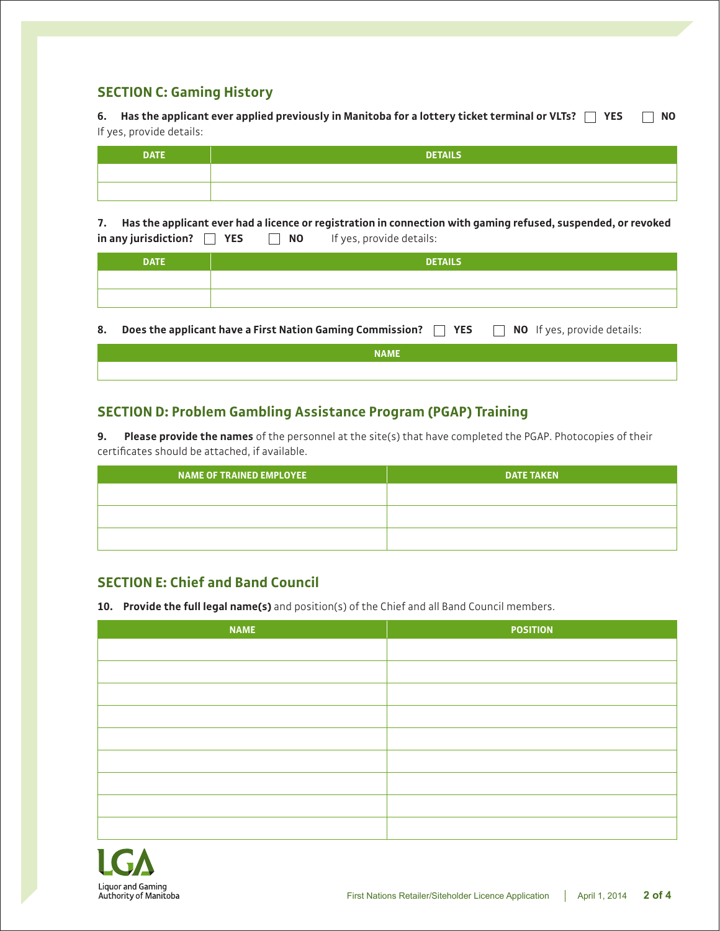# **SECTION C: Gaming History**

**6. Has the applicant ever applied previously in Manitoba for a lottery ticket terminal or VLTs? YES NO** If yes, provide details:

| DATE | <b>DETAILS</b> |
|------|----------------|
|      |                |
|      |                |

**7. Has the applicant ever had a licence or registration in connection with gaming refused, suspended, or revoked in any jurisdiction? YES NO** If yes, provide details:

| <b>DATE</b> | <b>DETAILS</b> |
|-------------|----------------|
|             |                |
|             |                |
|             |                |

8. **Does the applicant have a First Nation Gaming Commission? <b>No** YES NO If yes, provide details:

| NAME |
|------|
|      |

# **SECTION D: Problem Gambling Assistance Program (PGAP) Training**

**9. Please provide the names** of the personnel at the site(s) that have completed the PGAP. Photocopies of their certificates should be attached, if available.

| <b>NAME OF TRAINED EMPLOYEE</b> | <b>DATE TAKEN</b> |
|---------------------------------|-------------------|
|                                 |                   |
|                                 |                   |
|                                 |                   |

# **SECTION E: Chief and Band Council**

**10. Provide the full legal name(s)** and position(s) of the Chief and all Band Council members.

| <b>NAME</b> | <b>POSITION</b> |
|-------------|-----------------|
|             |                 |
|             |                 |
|             |                 |
|             |                 |
|             |                 |
|             |                 |
|             |                 |
|             |                 |
|             |                 |

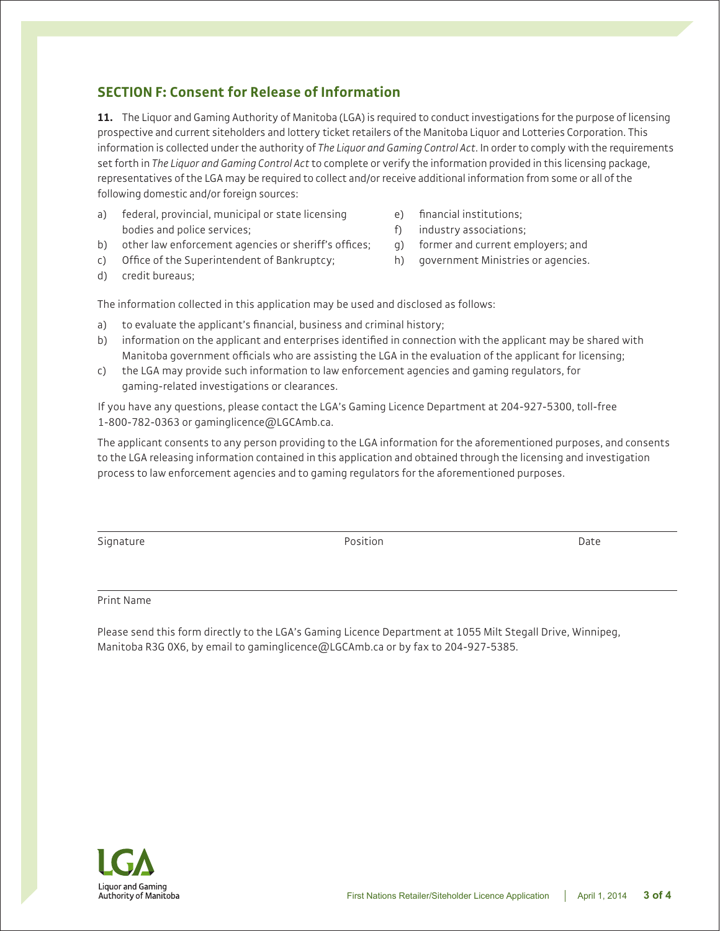# **SECTION F: Consent for Release of Information**

**11.** The Liquor and Gaming Authority of Manitoba (LGA) is required to conduct investigations for the purpose of licensing prospective and current siteholders and lottery ticket retailers of the Manitoba Liquor and Lotteries Corporation. This information is collected under the authority of *The Liquor and Gaming Control Act*. In order to comply with the requirements set forth in *The Liquor and Gaming Control Act* to complete or verify the information provided in this licensing package, representatives of the LGA may be required to collect and/or receive additional information from some or all of the following domestic and/or foreign sources:

- a) federal, provincial, municipal or state licensing bodies and police services;
- b) other law enforcement agencies or sheriff's offices;
- c) Office of the Superintendent of Bankruptcy;
- e) financial institutions;
- f) industry associations;
- g) former and current employers; and
- h) government Ministries or agencies.

d) credit bureaus;

The information collected in this application may be used and disclosed as follows:

- a) to evaluate the applicant's financial, business and criminal history;
- b) information on the applicant and enterprises identified in connection with the applicant may be shared with Manitoba government officials who are assisting the LGA in the evaluation of the applicant for licensing;
- c) the LGA may provide such information to law enforcement agencies and gaming regulators, for gaming-related investigations or clearances.

If you have any questions, please contact the LGA's Gaming Licence Department at 204-927-5300, toll-free 1-800-782-0363 or gaminglicence@LGCAmb.ca.

The applicant consents to any person providing to the LGA information for the aforementioned purposes, and consents to the LGA releasing information contained in this application and obtained through the licensing and investigation process to law enforcement agencies and to gaming regulators for the aforementioned purposes.

Signature **Position** Date **Position** Date **Position** Date **Position** 

## Print Name

Please send this form directly to the LGA's Gaming Licence Department at 1055 Milt Stegall Drive, Winnipeg, Manitoba R3G 0X6, by email to gaminglicence@LGCAmb.ca or by fax to 204-927-5385.